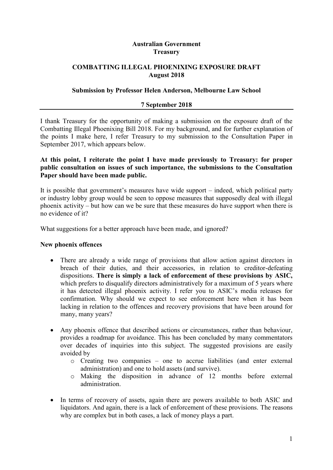### **Australian Government Treasury**

## **COMBATTING ILLEGAL PHOENIXING EXPOSURE DRAFT August 2018**

### **Submission by Professor Helen Anderson, Melbourne Law School**

#### **7 September 2018**

I thank Treasury for the opportunity of making a submission on the exposure draft of the Combatting Illegal Phoenixing Bill 2018. For my background, and for further explanation of the points I make here, I refer Treasury to my submission to the Consultation Paper in September 2017, which appears below.

### **At this point, I reiterate the point I have made previously to Treasury: for proper public consultation on issues of such importance, the submissions to the Consultation Paper should have been made public.**

It is possible that government's measures have wide support – indeed, which political party or industry lobby group would be seen to oppose measures that supposedly deal with illegal phoenix activity – but how can we be sure that these measures do have support when there is no evidence of it?

What suggestions for a better approach have been made, and ignored?

#### **New phoenix offences**

- There are already a wide range of provisions that allow action against directors in breach of their duties, and their accessories, in relation to creditor-defeating dispositions. **There is simply a lack of enforcement of these provisions by ASIC,**  which prefers to disqualify directors administratively for a maximum of 5 years where it has detected illegal phoenix activity. I refer you to ASIC's media releases for confirmation. Why should we expect to see enforcement here when it has been lacking in relation to the offences and recovery provisions that have been around for many, many years?
- Any phoenix offence that described actions or circumstances, rather than behaviour, provides a roadmap for avoidance. This has been concluded by many commentators over decades of inquiries into this subject. The suggested provisions are easily avoided by
	- o Creating two companies one to accrue liabilities (and enter external administration) and one to hold assets (and survive).
	- o Making the disposition in advance of 12 months before external administration.
- In terms of recovery of assets, again there are powers available to both ASIC and liquidators. And again, there is a lack of enforcement of these provisions. The reasons why are complex but in both cases, a lack of money plays a part.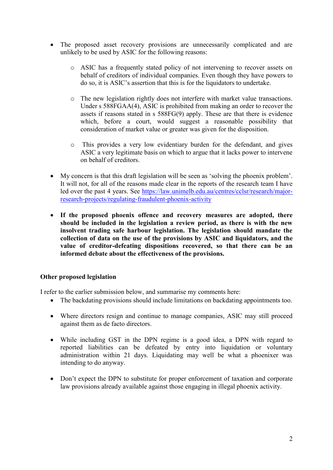- The proposed asset recovery provisions are unnecessarily complicated and are unlikely to be used by ASIC for the following reasons:
	- o ASIC has a frequently stated policy of not intervening to recover assets on behalf of creditors of individual companies. Even though they have powers to do so, it is ASIC's assertion that this is for the liquidators to undertake.
	- o The new legislation rightly does not interfere with market value transactions. Under s 588FGAA(4), ASIC is prohibited from making an order to recover the assets if reasons stated in s 588FG(9) apply. These are that there is evidence which, before a court, would suggest a reasonable possibility that consideration of market value or greater was given for the disposition.
	- o This provides a very low evidentiary burden for the defendant, and gives ASIC a very legitimate basis on which to argue that it lacks power to intervene on behalf of creditors.
- My concern is that this draft legislation will be seen as 'solving the phoenix problem'. It will not, for all of the reasons made clear in the reports of the research team I have led over the past 4 years. See [https://law.unimelb.edu.au/centres/cclsr/research/major](https://law.unimelb.edu.au/centres/cclsr/research/major-research-projects/regulating-fraudulent-phoenix-activity)[research-projects/regulating-fraudulent-phoenix-activity](https://law.unimelb.edu.au/centres/cclsr/research/major-research-projects/regulating-fraudulent-phoenix-activity)
- **If the proposed phoenix offence and recovery measures are adopted, there should be included in the legislation a review period, as there is with the new insolvent trading safe harbour legislation. The legislation should mandate the collection of data on the use of the provisions by ASIC and liquidators, and the value of creditor-defeating dispositions recovered, so that there can be an informed debate about the effectiveness of the provisions.**

## **Other proposed legislation**

I refer to the earlier submission below, and summarise my comments here:

- The backdating provisions should include limitations on backdating appointments too.
- Where directors resign and continue to manage companies, ASIC may still proceed against them as de facto directors.
- While including GST in the DPN regime is a good idea, a DPN with regard to reported liabilities can be defeated by entry into liquidation or voluntary administration within 21 days. Liquidating may well be what a phoenixer was intending to do anyway.
- Don't expect the DPN to substitute for proper enforcement of taxation and corporate law provisions already available against those engaging in illegal phoenix activity.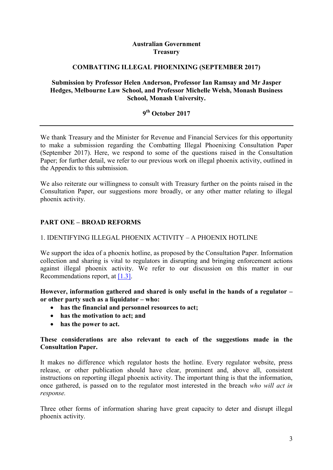### **Australian Government Treasury**

### **COMBATTING ILLEGAL PHOENIXING (SEPTEMBER 2017)**

### **Submission by Professor Helen Anderson, Professor Ian Ramsay and Mr Jasper Hedges, Melbourne Law School, and Professor Michelle Welsh, Monash Business School, Monash University.**

# **9 th October 2017**

We thank Treasury and the Minister for Revenue and Financial Services for this opportunity to make a submission regarding the Combatting Illegal Phoenixing Consultation Paper (September 2017). Here, we respond to some of the questions raised in the Consultation Paper; for further detail, we refer to our previous work on illegal phoenix activity, outlined in the Appendix to this submission.

We also reiterate our willingness to consult with Treasury further on the points raised in the Consultation Paper, our suggestions more broadly, or any other matter relating to illegal phoenix activity.

## **PART ONE – BROAD REFORMS**

### 1. IDENTIFYING ILLEGAL PHOENIX ACTIVITY – A PHOENIX HOTLINE

We support the idea of a phoenix hotline, as proposed by the Consultation Paper. Information collection and sharing is vital to regulators in disrupting and bringing enforcement actions against illegal phoenix activity. We refer to our discussion on this matter in our Recommendations report, at [\[1.3\].](http://law.unimelb.edu.au/__data/assets/pdf_file/0020/2274131/Phoenix-Activity-Recommendations-on-Detection-Disruption-and-Enforcement.pdf#page=41)

**However, information gathered and shared is only useful in the hands of a regulator – or other party such as a liquidator – who:**

- **has the financial and personnel resources to act;**
- **has the motivation to act; and**
- **has the power to act.**

### **These considerations are also relevant to each of the suggestions made in the Consultation Paper.**

It makes no difference which regulator hosts the hotline. Every regulator website, press release, or other publication should have clear, prominent and, above all, consistent instructions on reporting illegal phoenix activity. The important thing is that the information, once gathered, is passed on to the regulator most interested in the breach *who will act in response.*

Three other forms of information sharing have great capacity to deter and disrupt illegal phoenix activity.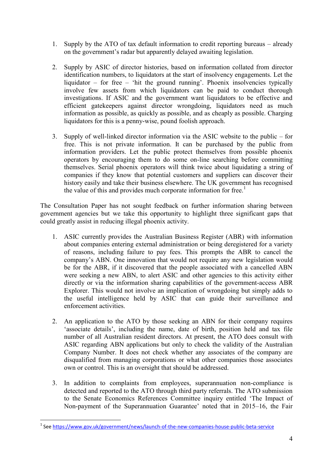- 1. Supply by the ATO of tax default information to credit reporting bureaus already on the government's radar but apparently delayed awaiting legislation.
- 2. Supply by ASIC of director histories, based on information collated from director identification numbers, to liquidators at the start of insolvency engagements. Let the liquidator – for free – 'hit the ground running'. Phoenix insolvencies typically involve few assets from which liquidators can be paid to conduct thorough investigations. If ASIC and the government want liquidators to be effective and efficient gatekeepers against director wrongdoing, liquidators need as much information as possible, as quickly as possible, and as cheaply as possible. Charging liquidators for this is a penny-wise, pound foolish approach.
- 3. Supply of well-linked director information via the ASIC website to the public for free. This is not private information. It can be purchased by the public from information providers. Let the public protect themselves from possible phoenix operators by encouraging them to do some on-line searching before committing themselves. Serial phoenix operators will think twice about liquidating a string of companies if they know that potential customers and suppliers can discover their history easily and take their business elsewhere. The UK government has recognised the value of this and provides much corporate information for free.<sup>1</sup>

The Consultation Paper has not sought feedback on further information sharing between government agencies but we take this opportunity to highlight three significant gaps that could greatly assist in reducing illegal phoenix activity.

- 1. ASIC currently provides the Australian Business Register (ABR) with information about companies entering external administration or being deregistered for a variety of reasons, including failure to pay fees. This prompts the ABR to cancel the company's ABN. One innovation that would not require any new legislation would be for the ABR, if it discovered that the people associated with a cancelled ABN were seeking a new ABN, to alert ASIC and other agencies to this activity either directly or via the information sharing capabilities of the government-access ABR Explorer. This would not involve an implication of wrongdoing but simply adds to the useful intelligence held by ASIC that can guide their surveillance and enforcement activities.
- 2. An application to the ATO by those seeking an ABN for their company requires 'associate details', including the name, date of birth, position held and tax file number of all Australian resident directors. At present, the ATO does consult with ASIC regarding ABN applications but only to check the validity of the Australian Company Number. It does not check whether any associates of the company are disqualified from managing corporations or what other companies those associates own or control. This is an oversight that should be addressed.
- 3. In addition to complaints from employees, superannuation non-compliance is detected and reported to the ATO through third party referrals. The ATO submission to the Senate Economics References Committee inquiry entitled 'The Impact of Non-payment of the Superannuation Guarantee' noted that in 2015–16, the Fair

 1 See<https://www.gov.uk/government/news/launch-of-the-new-companies-house-public-beta-service>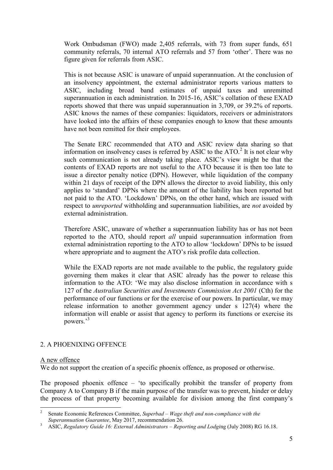Work Ombudsman (FWO) made 2,405 referrals, with 73 from super funds, 651 community referrals, 70 internal ATO referrals and 57 from 'other'. There was no figure given for referrals from ASIC.

This is not because ASIC is unaware of unpaid superannuation. At the conclusion of an insolvency appointment, the external administrator reports various matters to ASIC, including broad band estimates of unpaid taxes and unremitted superannuation in each administration. In 2015-16, ASIC's collation of these EXAD reports showed that there was unpaid superannuation in 3,709, or 39.2% of reports. ASIC knows the names of these companies: liquidators, receivers or administrators have looked into the affairs of these companies enough to know that these amounts have not been remitted for their employees.

The Senate ERC recommended that ATO and ASIC review data sharing so that information on insolvency cases is referred by ASIC to the  $ATO$ <sup>2</sup> It is not clear why such communication is not already taking place. ASIC's view might be that the contents of EXAD reports are not useful to the ATO because it is then too late to issue a director penalty notice (DPN). However, while liquidation of the company within 21 days of receipt of the DPN allows the director to avoid liability, this only applies to 'standard' DPNs where the amount of the liability has been reported but not paid to the ATO. 'Lockdown' DPNs, on the other hand, which are issued with respect to *unreported* withholding and superannuation liabilities, are *not* avoided by external administration.

Therefore ASIC, unaware of whether a superannuation liability has or has not been reported to the ATO, should report *all* unpaid superannuation information from external administration reporting to the ATO to allow 'lockdown' DPNs to be issued where appropriate and to augment the ATO's risk profile data collection.

While the EXAD reports are not made available to the public, the regulatory guide governing them makes it clear that ASIC already has the power to release this information to the ATO: 'We may also disclose information in accordance with s 127 of the *Australian Securities and Investments Commission Act 2001* (Cth) for the performance of our functions or for the exercise of our powers. In particular, we may release information to another government agency under s 127(4) where the information will enable or assist that agency to perform its functions or exercise its powers.' 3

## 2. A PHOENIXING OFFENCE

#### A new offence

1

We do not support the creation of a specific phoenix offence, as proposed or otherwise.

The proposed phoenix offence – 'to specifically prohibit the transfer of property from Company A to Company B if the main purpose of the transfer was to prevent, hinder or delay the process of that property becoming available for division among the first company's

<sup>2</sup> Senate Economic References Committee, *Superbad – Wage theft and non-compliance with the Superannuation Guarantee*, May 2017, recommendation 26.

<sup>3</sup> ASIC, *Regulatory Guide 16: External Administrators – Reporting and Lodgi*ng (July 2008) RG 16.18.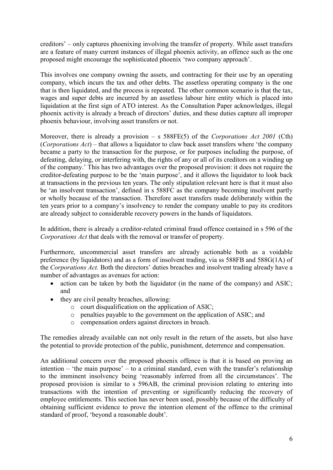creditors' – only captures phoenixing involving the transfer of property. While asset transfers are a feature of many current instances of illegal phoenix activity, an offence such as the one proposed might encourage the sophisticated phoenix 'two company approach'.

This involves one company owning the assets, and contracting for their use by an operating company, which incurs the tax and other debts. The assetless operating company is the one that is then liquidated, and the process is repeated. The other common scenario is that the tax, wages and super debts are incurred by an assetless labour hire entity which is placed into liquidation at the first sign of ATO interest. As the Consultation Paper acknowledges, illegal phoenix activity is already a breach of directors' duties, and these duties capture all improper phoenix behaviour, involving asset transfers or not.

Moreover, there is already a provision – s 588FE(5) of the *Corporations Act 2001* (Cth) (*Corporations Act*) – that allows a liquidator to claw back asset transfers where 'the company became a party to the transaction for the purpose, or for purposes including the purpose, of defeating, delaying, or interfering with, the rights of any or all of its creditors on a winding up of the company.' This has two advantages over the proposed provision: it does not require the creditor-defeating purpose to be the 'main purpose', and it allows the liquidator to look back at transactions in the previous ten years. The only stipulation relevant here is that it must also be 'an insolvent transaction', defined in s 588FC as the company becoming insolvent partly or wholly because of the transaction. Therefore asset transfers made deliberately within the ten years prior to a company's insolvency to render the company unable to pay its creditors are already subject to considerable recovery powers in the hands of liquidators.

In addition, there is already a creditor-related criminal fraud offence contained in s 596 of the *Corporations Act* that deals with the removal or transfer of property.

Furthermore, uncommercial asset transfers are already actionable both as a voidable preference (by liquidators) and as a form of insolvent trading, via ss 588FB and 588G(1A) of the *Corporations Act.* Both the directors' duties breaches and insolvent trading already have a number of advantages as avenues for action:

- action can be taken by both the liquidator (in the name of the company) and ASIC; and
- they are civil penalty breaches, allowing:
	- o court disqualification on the application of ASIC;
	- o penalties payable to the government on the application of ASIC; and
	- o compensation orders against directors in breach.

The remedies already available can not only result in the return of the assets, but also have the potential to provide protection of the public, punishment, deterrence and compensation.

An additional concern over the proposed phoenix offence is that it is based on proving an intention – 'the main purpose' – to a criminal standard, even with the transfer's relationship to the imminent insolvency being 'reasonably inferred from all the circumstances'. The proposed provision is similar to s 596AB, the criminal provision relating to entering into transactions with the intention of preventing or significantly reducing the recovery of employee entitlements. This section has never been used, possibly because of the difficulty of obtaining sufficient evidence to prove the intention element of the offence to the criminal standard of proof, 'beyond a reasonable doubt'.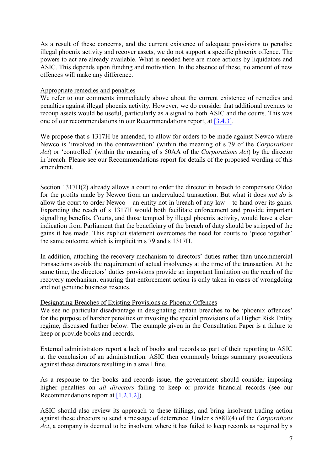As a result of these concerns, and the current existence of adequate provisions to penalise illegal phoenix activity and recover assets, we do not support a specific phoenix offence. The powers to act are already available. What is needed here are more actions by liquidators and ASIC. This depends upon funding and motivation. In the absence of these, no amount of new offences will make any difference.

### Appropriate remedies and penalties

We refer to our comments immediately above about the current existence of remedies and penalties against illegal phoenix activity. However, we do consider that additional avenues to recoup assets would be useful, particularly as a signal to both ASIC and the courts. This was one of our recommendations in our Recommendations report, at [\[3.4.3\].](http://law.unimelb.edu.au/__data/assets/pdf_file/0020/2274131/Phoenix-Activity-Recommendations-on-Detection-Disruption-and-Enforcement.pdf#page=124)

We propose that s 1317H be amended, to allow for orders to be made against Newco where Newco is 'involved in the contravention' (within the meaning of s 79 of the *Corporations Act*) or 'controlled' (within the meaning of s 50AA of the *Corporations Act*) by the director in breach. Please see our Recommendations report for details of the proposed wording of this amendment.

Section 1317H(2) already allows a court to order the director in breach to compensate Oldco for the profits made by Newco from an undervalued transaction. But what it does *not do* is allow the court to order Newco – an entity not in breach of any law – to hand over its gains. Expanding the reach of s 1317H would both facilitate enforcement and provide important signalling benefits. Courts, and those tempted by illegal phoenix activity, would have a clear indication from Parliament that the beneficiary of the breach of duty should be stripped of the gains it has made. This explicit statement overcomes the need for courts to 'piece together' the same outcome which is implicit in s 79 and s 1317H.

In addition, attaching the recovery mechanism to directors' duties rather than uncommercial transactions avoids the requirement of actual insolvency at the time of the transaction. At the same time, the directors' duties provisions provide an important limitation on the reach of the recovery mechanism, ensuring that enforcement action is only taken in cases of wrongdoing and not genuine business rescues.

#### Designating Breaches of Existing Provisions as Phoenix Offences

We see no particular disadvantage in designating certain breaches to be 'phoenix offences' for the purpose of harsher penalties or invoking the special provisions of a Higher Risk Entity regime, discussed further below. The example given in the Consultation Paper is a failure to keep or provide books and records.

External administrators report a lack of books and records as part of their reporting to ASIC at the conclusion of an administration. ASIC then commonly brings summary prosecutions against these directors resulting in a small fine.

As a response to the books and records issue, the government should consider imposing higher penalties on *all directors* failing to keep or provide financial records (see our Recommendations report at  $[1.2.1.2]$ .

ASIC should also review its approach to these failings, and bring insolvent trading action against these directors to send a message of deterrence. Under s 588E(4) of the *Corporations Act*, a company is deemed to be insolvent where it has failed to keep records as required by s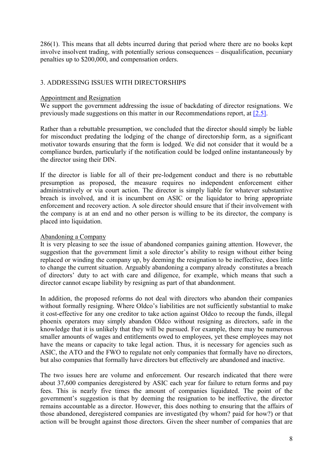286(1). This means that all debts incurred during that period where there are no books kept involve insolvent trading, with potentially serious consequences – disqualification, pecuniary penalties up to \$200,000, and compensation orders.

# 3. ADDRESSING ISSUES WITH DIRECTORSHIPS

#### Appointment and Resignation

We support the government addressing the issue of backdating of director resignations. We previously made suggestions on this matter in our Recommendations report, at [\[2.5\].](http://law.unimelb.edu.au/__data/assets/pdf_file/0020/2274131/Phoenix-Activity-Recommendations-on-Detection-Disruption-and-Enforcement.pdf#page=96)

Rather than a rebuttable presumption, we concluded that the director should simply be liable for misconduct predating the lodging of the change of directorship form, as a significant motivator towards ensuring that the form is lodged. We did not consider that it would be a compliance burden, particularly if the notification could be lodged online instantaneously by the director using their DIN.

If the director is liable for all of their pre-lodgement conduct and there is no rebuttable presumption as proposed, the measure requires no independent enforcement either administratively or via court action. The director is simply liable for whatever substantive breach is involved, and it is incumbent on ASIC or the liquidator to bring appropriate enforcement and recovery action. A sole director should ensure that if their involvement with the company is at an end and no other person is willing to be its director, the company is placed into liquidation.

#### Abandoning a Company

It is very pleasing to see the issue of abandoned companies gaining attention. However, the suggestion that the government limit a sole director's ability to resign without either being replaced or winding the company up, by deeming the resignation to be ineffective, does little to change the current situation. Arguably abandoning a company already constitutes a breach of directors' duty to act with care and diligence, for example, which means that such a director cannot escape liability by resigning as part of that abandonment.

In addition, the proposed reforms do not deal with directors who abandon their companies without formally resigning. Where Oldco's liabilities are not sufficiently substantial to make it cost-effective for any one creditor to take action against Oldco to recoup the funds, illegal phoenix operators may simply abandon Oldco without resigning as directors, safe in the knowledge that it is unlikely that they will be pursued. For example, there may be numerous smaller amounts of wages and entitlements owed to employees, yet these employees may not have the means or capacity to take legal action. Thus, it is necessary for agencies such as ASIC, the ATO and the FWO to regulate not only companies that formally have no directors, but also companies that formally have directors but effectively are abandoned and inactive.

The two issues here are volume and enforcement. Our research indicated that there were about 37,600 companies deregistered by ASIC each year for failure to return forms and pay fees. This is nearly five times the amount of companies liquidated. The point of the government's suggestion is that by deeming the resignation to be ineffective, the director remains accountable as a director. However, this does nothing to ensuring that the affairs of those abandoned, deregistered companies are investigated (by whom? paid for how?) or that action will be brought against those directors. Given the sheer number of companies that are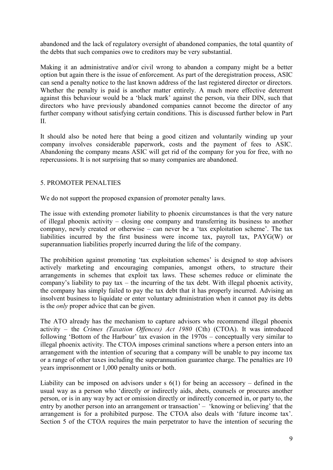abandoned and the lack of regulatory oversight of abandoned companies, the total quantity of the debts that such companies owe to creditors may be very substantial.

Making it an administrative and/or civil wrong to abandon a company might be a better option but again there is the issue of enforcement. As part of the deregistration process, ASIC can send a penalty notice to the last known address of the last registered director or directors. Whether the penalty is paid is another matter entirely. A much more effective deterrent against this behaviour would be a 'black mark' against the person, via their DIN, such that directors who have previously abandoned companies cannot become the director of any further company without satisfying certain conditions. This is discussed further below in Part II.

It should also be noted here that being a good citizen and voluntarily winding up your company involves considerable paperwork, costs and the payment of fees to ASIC. Abandoning the company means ASIC will get rid of the company for you for free, with no repercussions. It is not surprising that so many companies are abandoned.

## 5. PROMOTER PENALTIES

We do not support the proposed expansion of promoter penalty laws.

The issue with extending promoter liability to phoenix circumstances is that the very nature of illegal phoenix activity – closing one company and transferring its business to another company, newly created or otherwise – can never be a 'tax exploitation scheme'. The tax liabilities incurred by the first business were income tax, payroll tax, PAYG(W) or superannuation liabilities properly incurred during the life of the company.

The prohibition against promoting 'tax exploitation schemes' is designed to stop advisors actively marketing and encouraging companies, amongst others, to structure their arrangements in schemes that exploit tax laws. These schemes reduce or eliminate the company's liability to pay tax – the incurring of the tax debt. With illegal phoenix activity, the company has simply failed to pay the tax debt that it has properly incurred. Advising an insolvent business to liquidate or enter voluntary administration when it cannot pay its debts is the *only* proper advice that can be given.

The ATO already has the mechanism to capture advisors who recommend illegal phoenix activity – the *Crimes (Taxation Offences) Act 1980* (Cth) (CTOA). It was introduced following 'Bottom of the Harbour' tax evasion in the 1970s – conceptually very similar to illegal phoenix activity. The CTOA imposes criminal sanctions where a person enters into an arrangement with the intention of securing that a company will be unable to pay income tax or a range of other taxes including the superannuation guarantee charge. The penalties are 10 years imprisonment or 1,000 penalty units or both.

Liability can be imposed on advisors under  $s$  6(1) for being an accessory – defined in the usual way as a person who 'directly or indirectly aids, abets, counsels or procures another person, or is in any way by act or omission directly or indirectly concerned in, or party to, the entry by another person into an arrangement or transaction' – 'knowing or believing' that the arrangement is for a prohibited purpose. The CTOA also deals with 'future income tax'. Section 5 of the CTOA requires the main perpetrator to have the intention of securing the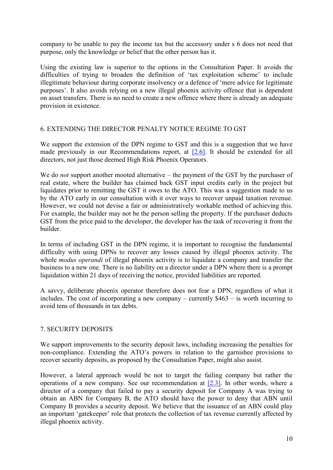company to be unable to pay the income tax but the accessory under s 6 does not need that purpose, only the knowledge or belief that the other person has it.

Using the existing law is superior to the options in the Consultation Paper. It avoids the difficulties of trying to broaden the definition of 'tax exploitation scheme' to include illegitimate behaviour during corporate insolvency or a defence of 'mere advice for legitimate purposes'. It also avoids relying on a new illegal phoenix activity offence that is dependent on asset transfers. There is no need to create a new offence where there is already an adequate provision in existence.

## 6. EXTENDING THE DIRECTOR PENALTY NOTICE REGIME TO GST

We support the extension of the DPN regime to GST and this is a suggestion that we have made previously in our Recommendations report, at  $[2.6]$ . It should be extended for all directors, not just those deemed High Risk Phoenix Operators.

We do *not* support another mooted alternative – the payment of the GST by the purchaser of real estate, where the builder has claimed back GST input credits early in the project but liquidates prior to remitting the GST it owes to the ATO. This was a suggestion made to us by the ATO early in our consultation with it over ways to recover unpaid taxation revenue. However, we could not devise a fair or administratively workable method of achieving this. For example, the builder may not be the person selling the property. If the purchaser deducts GST from the price paid to the developer, the developer has the task of recovering it from the builder.

In terms of including GST in the DPN regime, it is important to recognise the fundamental difficulty with using DPNs to recover any losses caused by illegal phoenix activity. The whole *modus operandi* of illegal phoenix activity is to liquidate a company and transfer the business to a new one. There is no liability on a director under a DPN where there is a prompt liquidation within 21 days of receiving the notice, provided liabilities are reported.

A savvy, deliberate phoenix operator therefore does not fear a DPN, regardless of what it includes. The cost of incorporating a new company – currently \$463 – is worth incurring to avoid tens of thousands in tax debts.

## 7. SECURITY DEPOSITS

We support improvements to the security deposit laws, including increasing the penalties for non-compliance. Extending the ATO's powers in relation to the garnishee provisions to recover security deposits, as proposed by the Consultation Paper, might also assist.

However, a lateral approach would be not to target the failing company but rather the operations of a new company. See our recommendation at [\[2.3\].](http://law.unimelb.edu.au/__data/assets/pdf_file/0020/2274131/Phoenix-Activity-Recommendations-on-Detection-Disruption-and-Enforcement.pdf#page=91) In other words, where a director of a company that failed to pay a security deposit for Company A was trying to obtain an ABN for Company B, the ATO should have the power to deny that ABN until Company B provides a security deposit. We believe that the issuance of an ABN could play an important 'gatekeeper' role that protects the collection of tax revenue currently affected by illegal phoenix activity.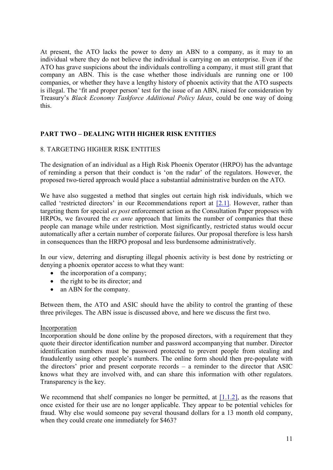At present, the ATO lacks the power to deny an ABN to a company, as it may to an individual where they do not believe the individual is carrying on an enterprise. Even if the ATO has grave suspicions about the individuals controlling a company, it must still grant that company an ABN. This is the case whether those individuals are running one or 100 companies, or whether they have a lengthy history of phoenix activity that the ATO suspects is illegal. The 'fit and proper person' test for the issue of an ABN, raised for consideration by Treasury's *Black Economy Taskforce Additional Policy Ideas*, could be one way of doing this.

## **PART TWO – DEALING WITH HIGHER RISK ENTITIES**

## 8. TARGETING HIGHER RISK ENTITIES

The designation of an individual as a High Risk Phoenix Operator (HRPO) has the advantage of reminding a person that their conduct is 'on the radar' of the regulators. However, the proposed two-tiered approach would place a substantial administrative burden on the ATO.

We have also suggested a method that singles out certain high risk individuals, which we called 'restricted directors' in our Recommendations report at [\[2.1\].](http://law.unimelb.edu.au/__data/assets/pdf_file/0020/2274131/Phoenix-Activity-Recommendations-on-Detection-Disruption-and-Enforcement.pdf#page=74) However, rather than targeting them for special *ex post* enforcement action as the Consultation Paper proposes with HRPOs, we favoured the *ex ante* approach that limits the number of companies that these people can manage while under restriction. Most significantly, restricted status would occur automatically after a certain number of corporate failures. Our proposal therefore is less harsh in consequences than the HRPO proposal and less burdensome administratively.

In our view, deterring and disrupting illegal phoenix activity is best done by restricting or denying a phoenix operator access to what they want:

- $\bullet$  the incorporation of a company;
- $\bullet$  the right to be its director; and
- an ABN for the company.

Between them, the ATO and ASIC should have the ability to control the granting of these three privileges. The ABN issue is discussed above, and here we discuss the first two.

#### Incorporation

Incorporation should be done online by the proposed directors, with a requirement that they quote their director identification number and password accompanying that number. Director identification numbers must be password protected to prevent people from stealing and fraudulently using other people's numbers. The online form should then pre-populate with the directors' prior and present corporate records – a reminder to the director that ASIC knows what they are involved with, and can share this information with other regulators. Transparency is the key.

We recommend that shelf companies no longer be permitted, at  $[1,1,2]$ , as the reasons that once existed for their use are no longer applicable. They appear to be potential vehicles for fraud. Why else would someone pay several thousand dollars for a 13 month old company, when they could create one immediately for \$463?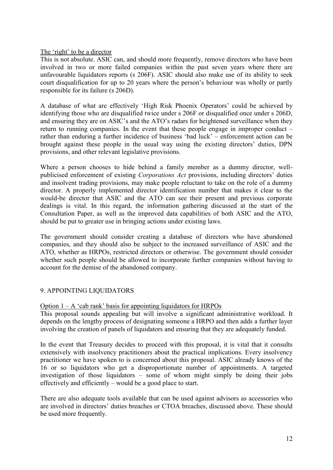The 'right' to be a director

This is not absolute. ASIC can, and should more frequently, remove directors who have been involved in two or more failed companies within the past seven years where there are unfavourable liquidators reports (s 206F). ASIC should also make use of its ability to seek court disqualification for up to 20 years where the person's behaviour was wholly or partly responsible for its failure (s 206D).

A database of what are effectively 'High Risk Phoenix Operators' could be achieved by identifying those who are disqualified twice under s 206F or disqualified once under s 206D, and ensuring they are on ASIC's and the ATO's radars for heightened surveillance when they return to running companies. In the event that these people engage in improper conduct – rather than enduring a further incidence of business 'bad luck' – enforcement action can be brought against these people in the usual way using the existing directors' duties, DPN provisions, and other relevant legislative provisions.

Where a person chooses to hide behind a family member as a dummy director, wellpublicised enforcement of existing *Corporations Act* provisions, including directors' duties and insolvent trading provisions, may make people reluctant to take on the role of a dummy director. A properly implemented director identification number that makes it clear to the would-be director that ASIC and the ATO can see their present and previous corporate dealings is vital. In this regard, the information gathering discussed at the start of the Consultation Paper, as well as the improved data capabilities of both ASIC and the ATO, should be put to greater use in bringing actions under existing laws.

The government should consider creating a database of directors who have abandoned companies, and they should also be subject to the increased surveillance of ASIC and the ATO, whether as HRPOs, restricted directors or otherwise. The government should consider whether such people should be allowed to incorporate further companies without having to account for the demise of the abandoned company.

## 9. APPOINTING LIQUIDATORS

Option  $1 - A$  'cab rank' basis for appointing liquidators for HRPOs

This proposal sounds appealing but will involve a significant administrative workload. It depends on the lengthy process of designating someone a HRPO and then adds a further layer involving the creation of panels of liquidators and ensuring that they are adequately funded.

In the event that Treasury decides to proceed with this proposal, it is vital that it consults extensively with insolvency practitioners about the practical implications. Every insolvency practitioner we have spoken to is concerned about this proposal. ASIC already knows of the 16 or so liquidators who get a disproportionate number of appointments. A targeted investigation of those liquidators – some of whom might simply be doing their jobs effectively and efficiently – would be a good place to start.

There are also adequate tools available that can be used against advisors as accessories who are involved in directors' duties breaches or CTOA breaches, discussed above. These should be used more frequently.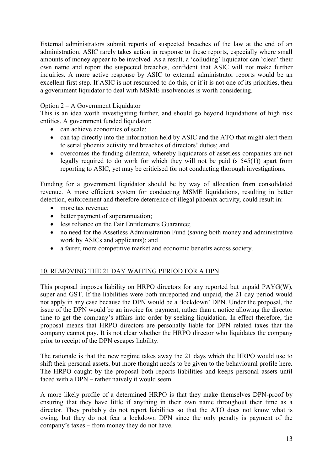External administrators submit reports of suspected breaches of the law at the end of an administration. ASIC rarely takes action in response to these reports, especially where small amounts of money appear to be involved. As a result, a 'colluding' liquidator can 'clear' their own name and report the suspected breaches, confident that ASIC will not make further inquiries. A more active response by ASIC to external administrator reports would be an excellent first step. If ASIC is not resourced to do this, or if it is not one of its priorities, then a government liquidator to deal with MSME insolvencies is worth considering.

# Option 2 – A Government Liquidator

This is an idea worth investigating further, and should go beyond liquidations of high risk entities. A government funded liquidator:

- can achieve economies of scale:
- can tap directly into the information held by ASIC and the ATO that might alert them to serial phoenix activity and breaches of directors' duties; and
- overcomes the funding dilemma, whereby liquidators of assetless companies are not legally required to do work for which they will not be paid (s 545(1)) apart from reporting to ASIC, yet may be criticised for not conducting thorough investigations.

Funding for a government liquidator should be by way of allocation from consolidated revenue. A more efficient system for conducting MSME liquidations, resulting in better detection, enforcement and therefore deterrence of illegal phoenix activity, could result in:

- more tax revenue;
- better payment of superannuation;
- less reliance on the Fair Entitlements Guarantee:
- no need for the Assetless Administration Fund (saving both money and administrative work by ASICs and applicants); and
- a fairer, more competitive market and economic benefits across society.

# 10. REMOVING THE 21 DAY WAITING PERIOD FOR A DPN

This proposal imposes liability on HRPO directors for any reported but unpaid PAYG(W), super and GST. If the liabilities were both unreported and unpaid, the 21 day period would not apply in any case because the DPN would be a 'lockdown' DPN. Under the proposal, the issue of the DPN would be an invoice for payment, rather than a notice allowing the director time to get the company's affairs into order by seeking liquidation. In effect therefore, the proposal means that HRPO directors are personally liable for DPN related taxes that the company cannot pay. It is not clear whether the HRPO director who liquidates the company prior to receipt of the DPN escapes liability.

The rationale is that the new regime takes away the 21 days which the HRPO would use to shift their personal assets, but more thought needs to be given to the behavioural profile here. The HRPO caught by the proposal both reports liabilities and keeps personal assets until faced with a DPN – rather naively it would seem.

A more likely profile of a determined HRPO is that they make themselves DPN-proof by ensuring that they have little if anything in their own name throughout their time as a director. They probably do not report liabilities so that the ATO does not know what is owing, but they do not fear a lockdown DPN since the only penalty is payment of the company's taxes – from money they do not have.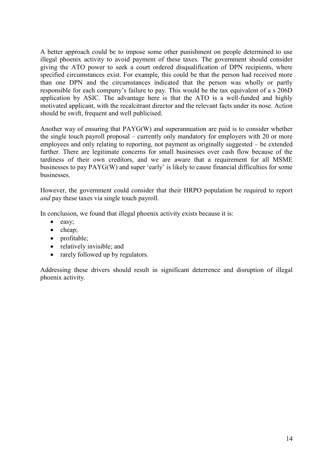A better approach could be to impose some other punishment on people determined to use illegal phoenix activity to avoid payment of these taxes. The government should consider giving the ATO power to seek a court ordered disqualification of DPN recipients, where specified circumstances exist. For example, this could be that the person had received more than one DPN and the circumstances indicated that the person was wholly or partly responsible for each company's failure to pay. This would be the tax equivalent of a s 206D application by ASIC. The advantage here is that the ATO is a well-funded and highly motivated applicant, with the recalcitrant director and the relevant facts under its nose. Action should be swift, frequent and well publicised.

Another way of ensuring that PAYG(W) and superannuation are paid is to consider whether the single touch payroll proposal – currently only mandatory for employers with 20 or more employees and only relating to reporting, not payment as originally suggested – be extended further. There are legitimate concerns for small businesses over cash flow because of the tardiness of their own creditors, and we are aware that a requirement for all MSME businesses to pay PAYG(W) and super 'early' is likely to cause financial difficulties for some businesses.

However, the government could consider that their HRPO population be required to report *and* pay these taxes via single touch payroll.

In conclusion, we found that illegal phoenix activity exists because it is:

- easy;
- $\bullet$  cheap;
- profitable;
- relatively invisible; and
- rarely followed up by regulators.

Addressing these drivers should result in significant deterrence and disruption of illegal phoenix activity.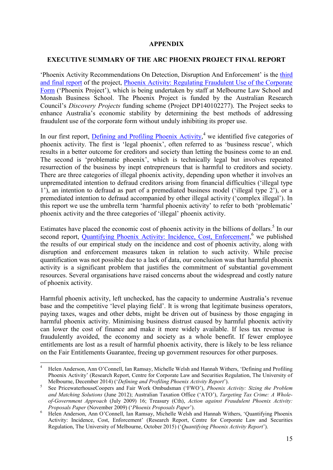#### **APPENDIX**

#### **EXECUTIVE SUMMARY OF THE ARC PHOENIX PROJECT FINAL REPORT**

'Phoenix Activity Recommendations On Detection, Disruption And Enforcement' is the [third](http://law.unimelb.edu.au/__data/assets/pdf_file/0020/2274131/Phoenix-Activity-Recommendations-on-Detection-Disruption-and-Enforcement.pdf)  [and final report](http://law.unimelb.edu.au/__data/assets/pdf_file/0020/2274131/Phoenix-Activity-Recommendations-on-Detection-Disruption-and-Enforcement.pdf) of the project, [Phoenix Activity: Regulating Fraudulent Use of the Corporate](http://law.unimelb.edu.au/centres/cclsr/research/major-research-projects/regulating-fraudulent-phoenix-activity)  [Form](http://law.unimelb.edu.au/centres/cclsr/research/major-research-projects/regulating-fraudulent-phoenix-activity) ('Phoenix Project'), which is being undertaken by staff at Melbourne Law School and Monash Business School. The Phoenix Project is funded by the Australian Research Council's *Discovery Projects* funding scheme (Project DP140102277). The Project seeks to enhance Australia's economic stability by determining the best methods of addressing fraudulent use of the corporate form without unduly inhibiting its proper use.

In our first report, **Defining and Profiling Phoenix Activity**,<sup>4</sup> we identified five categories of phoenix activity. The first is 'legal phoenix', often referred to as 'business rescue', which results in a better outcome for creditors and society than letting the business come to an end. The second is 'problematic phoenix', which is technically legal but involves repeated resurrection of the business by inept entrepreneurs that is harmful to creditors and society. There are three categories of illegal phoenix activity, depending upon whether it involves an unpremeditated intention to defraud creditors arising from financial difficulties ('illegal type 1'), an intention to defraud as part of a premediated business model ('illegal type 2'), or a premediated intention to defraud accompanied by other illegal activity ('complex illegal'). In this report we use the umbrella term 'harmful phoenix activity' to refer to both 'problematic' phoenix activity and the three categories of 'illegal' phoenix activity.

Estimates have placed the economic cost of phoenix activity in the billions of dollars.<sup>5</sup> In our second report, [Quantifying Phoenix Activity: Incidence, Cost, Enforcement,](http://law.unimelb.edu.au/__data/assets/pdf_file/0004/2255350/Anderson,-Quantifying-Phoenix-Activity_Oct-2015.pdf)<sup>6</sup> we published the results of our empirical study on the incidence and cost of phoenix activity, along with disruption and enforcement measures taken in relation to such activity. While precise quantification was not possible due to a lack of data, our conclusion was that harmful phoenix activity is a significant problem that justifies the commitment of substantial government resources. Several organisations have raised concerns about the widespread and costly nature of phoenix activity.

Harmful phoenix activity, left unchecked, has the capacity to undermine Australia's revenue base and the competitive 'level playing field'. It is wrong that legitimate business operators, paying taxes, wages and other debts, might be driven out of business by those engaging in harmful phoenix activity. Minimising business distrust caused by harmful phoenix activity can lower the cost of finance and make it more widely available. If less tax revenue is fraudulently avoided, the economy and society as a whole benefit. If fewer employee entitlements are lost as a result of harmful phoenix activity, there is likely to be less reliance on the Fair Entitlements Guarantee, freeing up government resources for other purposes.

**.** 

<sup>4</sup> Helen Anderson, Ann O'Connell, Ian Ramsay, Michelle Welsh and Hannah Withers, 'Defining and Profiling Phoenix Activity' (Research Report, Centre for Corporate Law and Securities Regulation, The University of Melbourne, December 2014) ('*Defining and Profiling Phoenix Activity Report*').

<sup>5</sup> See PricewaterhouseCoopers and Fair Work Ombudsman ('FWO'), *Phoenix Activity: Sizing the Problem and Matching Solutions* (June 2012); Australian Taxation Office ('ATO'), *Targeting Tax Crime: A Wholeof-Government Approach* (July 2009) 16; Treasury (Cth), *Action against Fraudulent Phoenix Activity: Proposals Paper* (November 2009) ('*Phoenix Proposals Paper*').

<sup>&</sup>lt;sup>6</sup> Helen Anderson, Ann O'Connell, Ian Ramsay, Michelle Welsh and Hannah Withers, 'Quantifying Phoenix Activity: Incidence, Cost, Enforcement' (Research Report, Centre for Corporate Law and Securities Regulation, The University of Melbourne, October 2015) ('*Quantifying Phoenix Activity Report*').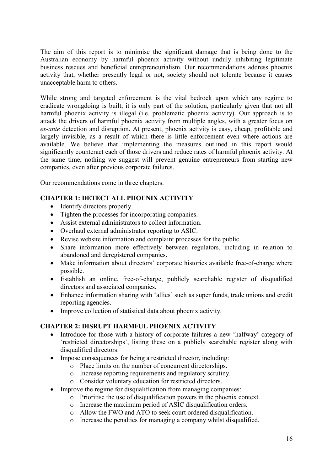The aim of this report is to minimise the significant damage that is being done to the Australian economy by harmful phoenix activity without unduly inhibiting legitimate business rescues and beneficial entrepreneurialism. Our recommendations address phoenix activity that, whether presently legal or not, society should not tolerate because it causes unacceptable harm to others.

While strong and targeted enforcement is the vital bedrock upon which any regime to eradicate wrongdoing is built, it is only part of the solution, particularly given that not all harmful phoenix activity is illegal (i.e. problematic phoenix activity). Our approach is to attack the drivers of harmful phoenix activity from multiple angles, with a greater focus on *ex-ante* detection and disruption. At present, phoenix activity is easy, cheap, profitable and largely invisible, as a result of which there is little enforcement even where actions are available. We believe that implementing the measures outlined in this report would significantly counteract each of those drivers and reduce rates of harmful phoenix activity. At the same time, nothing we suggest will prevent genuine entrepreneurs from starting new companies, even after previous corporate failures.

Our recommendations come in three chapters.

# **CHAPTER 1: DETECT ALL PHOENIX ACTIVITY**

- Identify directors properly.
- Tighten the processes for incorporating companies.
- Assist external administrators to collect information.
- Overhaul external administrator reporting to ASIC.
- Revise website information and complaint processes for the public.
- Share information more effectively between regulators, including in relation to abandoned and deregistered companies.
- Make information about directors' corporate histories available free-of-charge where possible.
- Establish an online, free-of-charge, publicly searchable register of disqualified directors and associated companies.
- Enhance information sharing with 'allies' such as super funds, trade unions and credit reporting agencies.
- Improve collection of statistical data about phoenix activity.

## **CHAPTER 2: DISRUPT HARMFUL PHOENIX ACTIVITY**

- Introduce for those with a history of corporate failures a new 'halfway' category of 'restricted directorships', listing these on a publicly searchable register along with disqualified directors.
- Impose consequences for being a restricted director, including:
	- o Place limits on the number of concurrent directorships.
	- o Increase reporting requirements and regulatory scrutiny.
	- o Consider voluntary education for restricted directors.
- Improve the regime for disqualification from managing companies:
	- o Prioritise the use of disqualification powers in the phoenix context.
	- o Increase the maximum period of ASIC disqualification orders.
	- o Allow the FWO and ATO to seek court ordered disqualification.
	- o Increase the penalties for managing a company whilst disqualified.